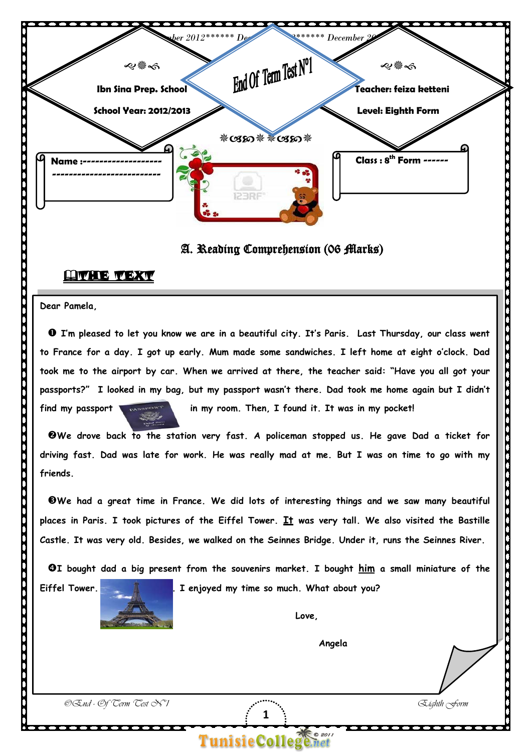

#### A. Reading Comprehension (06 Marks)

#### **HAVE TEXT**

**Dear Pamela,**

  **I'm pleased to let you know we are in a beautiful city. It's Paris. Last Thursday, our class went to France for a day. I got up early. Mum made some sandwiches. I left home at eight o'clock. Dad passports?" I looked in my bag, but my passport wasn't there. Dad took me home again but I didn't**  find my passport **took me to the airport by car. When we arrived at there, the teacher said: "Have you all got your** 

in my room. Then, I found it. It was in my pocket!

  **We drove back to the station very fast. A policeman stopped us. He gave Dad a ticket for driving fast. Dad was late for work. He was really mad at me. But I was on time to go with my friends.**

 **places in Paris. I took pictures of the Eiffel Tower. It was very tall. We also visited the Bastille Castle. It was very old. Besides, we walked on the Seinnes Bridge. Under it, runs the Seinnes River. We had a great time in France. We did lots of interesting things and we saw many beautiful** 

 **I bought dad a big present from the souvenirs market. I bought him a small miniature of the** 

**1** 

**Tunisie Colle** 



**Eiffel Tower. . I enjoyed my time so much. What about you?**

 **Angela**

©End - Of Term Test N°1 Eighth Form

֦

 $\overline{\phantom{a}}$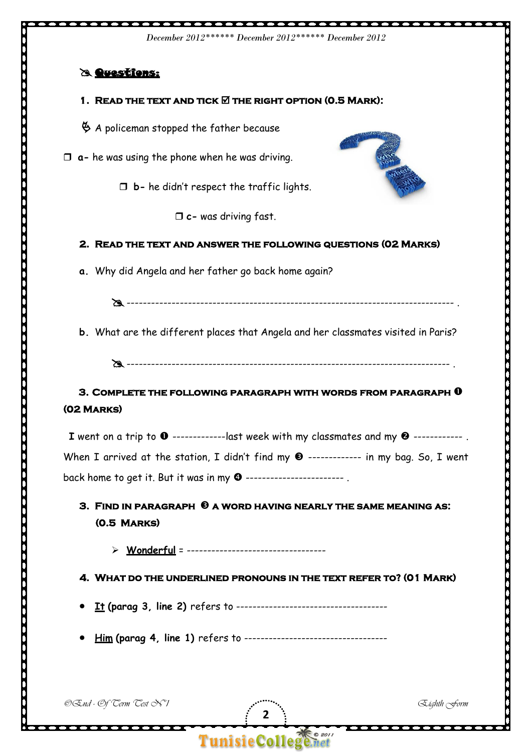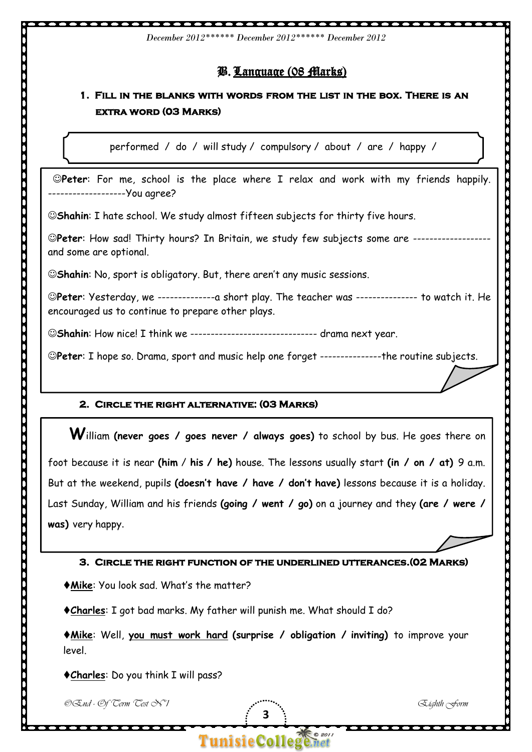# B. Language (08 Marks)

*December 2012\*\*\*\*\*\* December 2012\*\*\*\*\*\* December 2012*

# **1. Fill in the blanks with words from the list in the box. There is an extra word (03 Marks)**

performed / do / will study / compulsory / about / are / happy /

 **Peter**: For me, school is the place where I relax and work with my friends happily. -------------------You agree?

**Shahin**: I hate school. We study almost fifteen subjects for thirty five hours.

**Peter**: How sad! Thirty hours? In Britain, we study few subjects some are ------------------ and some are optional.

©Shahin: No, sport is obligatory. But, there aren't any music sessions.

 **Peter**: Yesterday, we --------------a short play. The teacher was --------------- to watch it. He encouraged us to continue to prepare other plays.

 **Shahin**: How nice! I think we ------------------------------- drama next year.

 **Peter**: I hope so. Drama, sport and music help one forget ---------------the routine subjects.

### **2. Circle the right alternative: (03 Marks)**

 **W**illiam **(never goes / goes never / always goes)** to school by bus. He goes there on foot because it is near **(him** / **his / he)** house. The lessons usually start **(in / on / at)** 9 a.m. But at the weekend, pupils **(doesn't have / have / don't have)** lessons because it is a holiday. Last Sunday, William and his friends **(going / went / go)** on a journey and they **(are / were / was)** very happy.

**3. Circle the right function of the underlined utterances.(02 Marks)** 

**Mike** : You look sad. What's the matter?

**Charles** : I got bad marks. My father will punish me. What should I do?

 **Mike**: Well, **you must work hard (surprise / obligation / inviting)** to improve your level.

**3** 

**Tunisie College** 

 $\bullet$  201

**Charles**: Do you think I will pass?

©End - Of Term Test N°1 Eighth Form

 $\bullet \bullet \bullet$ 

. . . . . . . . . . . . . . .